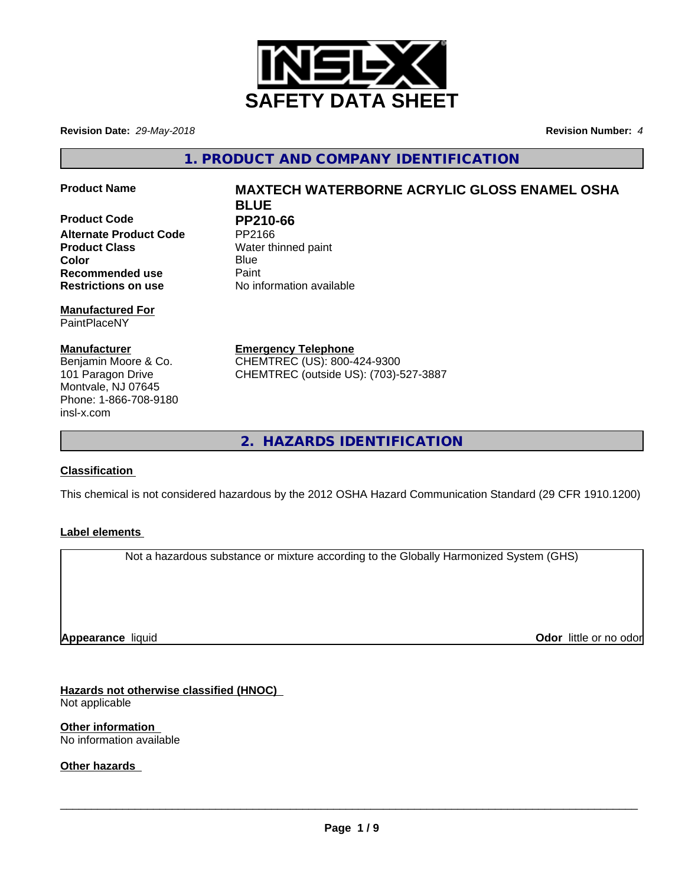

**Revision Date:** *29-May-2018* **Revision Number:** *4*

**1. PRODUCT AND COMPANY IDENTIFICATION**

**Product Code** PP210-66<br>Alternate Product Code PP2166 **Alternate Product Code Product Class** Water thinned paint **Color** Blue Blue **Recommended use** Paint **Restrictions on use** No information available

**Manufactured For** PaintPlaceNY

**Manufacturer** Benjamin Moore & Co. 101 Paragon Drive Montvale, NJ 07645 Phone: 1-866-708-9180 insl-x.com

**Product Name MAXTECH WATERBORNE ACRYLIC GLOSS ENAMEL OSHA BLUE**

**Emergency Telephone** CHEMTREC (US): 800-424-9300 CHEMTREC (outside US): (703)-527-3887

**2. HAZARDS IDENTIFICATION**

# **Classification**

This chemical is not considered hazardous by the 2012 OSHA Hazard Communication Standard (29 CFR 1910.1200)

# **Label elements**

Not a hazardous substance or mixture according to the Globally Harmonized System (GHS)

**Appearance** liquid

**Odor** little or no odor

**Hazards not otherwise classified (HNOC)** Not applicable

**Other information** No information available

**Other hazards**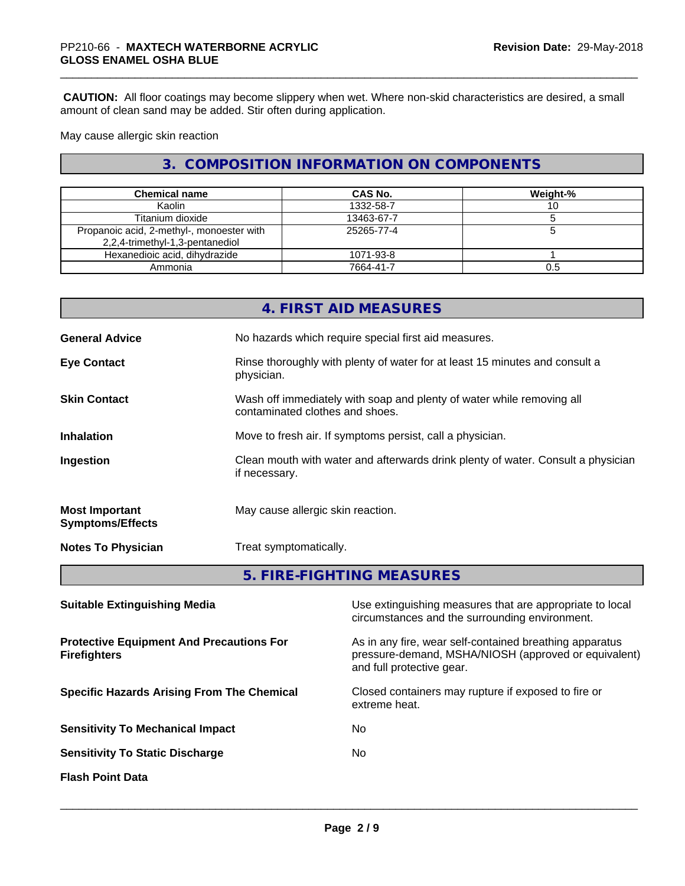**CAUTION:** All floor coatings may become slippery when wet. Where non-skid characteristics are desired, a small amount of clean sand may be added. Stir often during application.

May cause allergic skin reaction

# **3. COMPOSITION INFORMATION ON COMPONENTS**

| <b>Chemical name</b>                                                         | <b>CAS No.</b> | Weight-% |
|------------------------------------------------------------------------------|----------------|----------|
| Kaolin                                                                       | 1332-58-7      |          |
| Titanium dioxide                                                             | 13463-67-7     |          |
| Propanoic acid, 2-methyl-, monoester with<br>2,2,4-trimethyl-1,3-pentanediol | 25265-77-4     |          |
| Hexanedioic acid, dihydrazide                                                | 1071-93-8      |          |
| Ammonia                                                                      | 7664-41-7      | 0.5      |

|                                                  | 4. FIRST AID MEASURES                                                                                    |
|--------------------------------------------------|----------------------------------------------------------------------------------------------------------|
| <b>General Advice</b>                            | No hazards which require special first aid measures.                                                     |
| <b>Eye Contact</b>                               | Rinse thoroughly with plenty of water for at least 15 minutes and consult a<br>physician.                |
| <b>Skin Contact</b>                              | Wash off immediately with soap and plenty of water while removing all<br>contaminated clothes and shoes. |
| <b>Inhalation</b>                                | Move to fresh air. If symptoms persist, call a physician.                                                |
| Ingestion                                        | Clean mouth with water and afterwards drink plenty of water. Consult a physician<br>if necessary.        |
| <b>Most Important</b><br><b>Symptoms/Effects</b> | May cause allergic skin reaction.                                                                        |
| <b>Notes To Physician</b>                        | Treat symptomatically.                                                                                   |
|                                                  | 5. FIRE-FIGHTING MEASURES                                                                                |

| <b>Suitable Extinguishing Media</b>                                    | Use extinguishing measures that are appropriate to local<br>circumstances and the surrounding environment.                                   |
|------------------------------------------------------------------------|----------------------------------------------------------------------------------------------------------------------------------------------|
| <b>Protective Equipment And Precautions For</b><br><b>Firefighters</b> | As in any fire, wear self-contained breathing apparatus<br>pressure-demand, MSHA/NIOSH (approved or equivalent)<br>and full protective gear. |
| <b>Specific Hazards Arising From The Chemical</b>                      | Closed containers may rupture if exposed to fire or<br>extreme heat.                                                                         |
| <b>Sensitivity To Mechanical Impact</b>                                | No.                                                                                                                                          |
| <b>Sensitivity To Static Discharge</b>                                 | No.                                                                                                                                          |
| <b>Flash Point Data</b>                                                |                                                                                                                                              |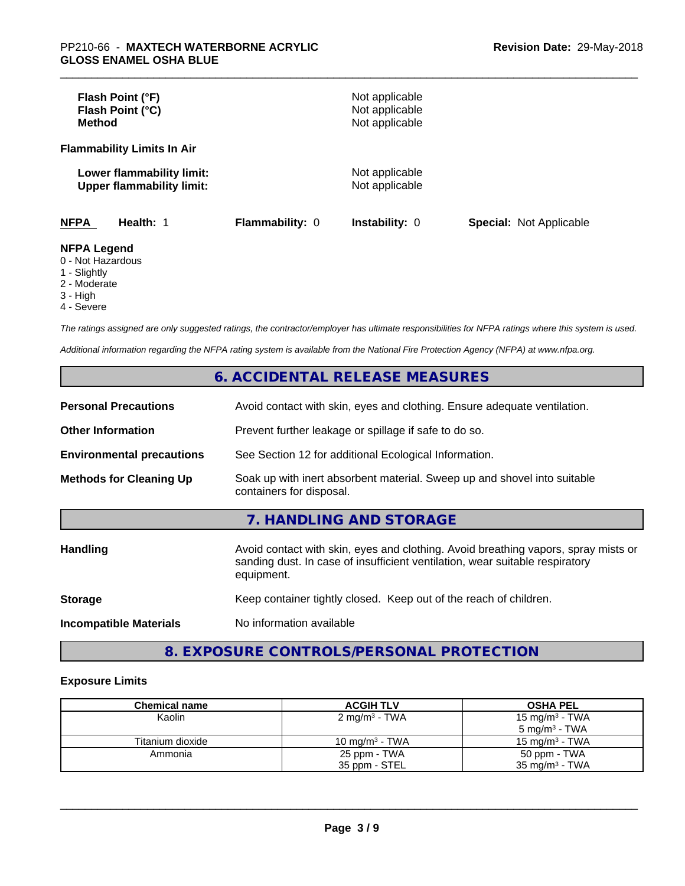| Flash Point (°F)<br>Flash Point (°C)<br><b>Method</b>         |                        | Not applicable<br>Not applicable<br>Not applicable |                                |
|---------------------------------------------------------------|------------------------|----------------------------------------------------|--------------------------------|
| <b>Flammability Limits In Air</b>                             |                        |                                                    |                                |
| Lower flammability limit:<br><b>Upper flammability limit:</b> |                        | Not applicable<br>Not applicable                   |                                |
| <b>NFPA</b><br>Health: 1                                      | <b>Flammability: 0</b> | <b>Instability: 0</b>                              | <b>Special: Not Applicable</b> |
| <b>NFPA Legend</b><br>0 - Not Hazardous<br>4 Clinhthi         |                        |                                                    |                                |

#### 1 - Slightly

- 2 Moderate
- 3 High
- 
- 4 Severe

*The ratings assigned are only suggested ratings, the contractor/employer has ultimate responsibilities for NFPA ratings where this system is used.*

*Additional information regarding the NFPA rating system is available from the National Fire Protection Agency (NFPA) at www.nfpa.org.*

# **6. ACCIDENTAL RELEASE MEASURES**

| <b>Personal Precautions</b>      | Avoid contact with skin, eyes and clothing. Ensure adequate ventilation.                                                                                                         |
|----------------------------------|----------------------------------------------------------------------------------------------------------------------------------------------------------------------------------|
| <b>Other Information</b>         | Prevent further leakage or spillage if safe to do so.                                                                                                                            |
| <b>Environmental precautions</b> | See Section 12 for additional Ecological Information.                                                                                                                            |
| <b>Methods for Cleaning Up</b>   | Soak up with inert absorbent material. Sweep up and shovel into suitable<br>containers for disposal.                                                                             |
|                                  | 7. HANDLING AND STORAGE                                                                                                                                                          |
| <b>Handling</b>                  | Avoid contact with skin, eyes and clothing. Avoid breathing vapors, spray mists or<br>sanding dust. In case of insufficient ventilation, wear suitable respiratory<br>equipment. |
| <b>Storage</b>                   | Keep container tightly closed. Keep out of the reach of children.                                                                                                                |
| <b>Incompatible Materials</b>    | No information available                                                                                                                                                         |

# **8. EXPOSURE CONTROLS/PERSONAL PROTECTION**

### **Exposure Limits**

| <b>Chemical name</b> | <b>ACGIH TLV</b>          | <b>OSHA PEL</b>            |
|----------------------|---------------------------|----------------------------|
| Kaolin               | 2 mg/m <sup>3</sup> - TWA | 15 mg/m <sup>3</sup> - TWA |
|                      |                           | $5 \text{ ma/m}^3$ - TWA   |
| Titanium dioxide     | 10 mg/m $3$ - TWA         | $15 \text{ mg/m}^3$ - TWA  |
| Ammonia              | 25 ppm - TWA              | 50 ppm - TWA               |
|                      | 35 ppm - STEL             | $35 \text{ mg/m}^3$ - TWA  |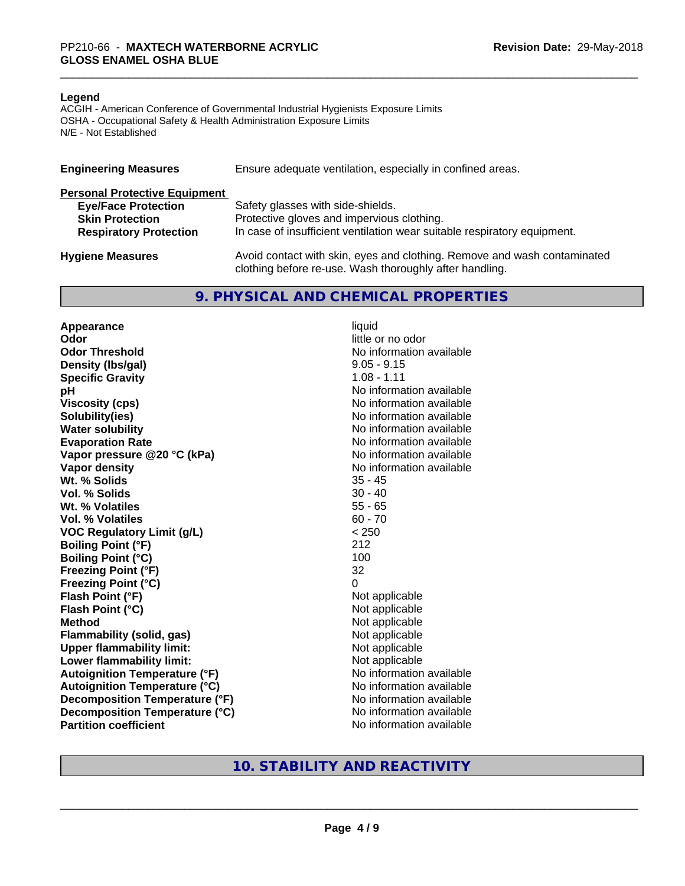#### **Legend**

ACGIH - American Conference of Governmental Industrial Hygienists Exposure Limits OSHA - Occupational Safety & Health Administration Exposure Limits N/E - Not Established

| <b>Engineering Measures</b>          | Ensure adequate ventilation, especially in confined areas.                                                                          |
|--------------------------------------|-------------------------------------------------------------------------------------------------------------------------------------|
| <b>Personal Protective Equipment</b> |                                                                                                                                     |
| <b>Eye/Face Protection</b>           | Safety glasses with side-shields.                                                                                                   |
| <b>Skin Protection</b>               | Protective gloves and impervious clothing.                                                                                          |
| <b>Respiratory Protection</b>        | In case of insufficient ventilation wear suitable respiratory equipment.                                                            |
| <b>Hygiene Measures</b>              | Avoid contact with skin, eyes and clothing. Remove and wash contaminated<br>clothing before re-use. Wash thoroughly after handling. |

### **9. PHYSICAL AND CHEMICAL PROPERTIES**

**Appearance** liquid **Odor** little or no odor **Odor Threshold No information available No information available Density (lbs/gal)** 9.05 - 9.15 **Specific Gravity** 1.08 - 1.11 **pH pH**  $\blacksquare$ **Viscosity (cps)** No information available **Solubility(ies)** No information available **Water solubility** No information available **Evaporation Rate No information available No information available Vapor pressure @20 °C (kPa)** No information available **Vapor density**<br> **We Solids**<br>
We Solids
25 - 45 Wt. % Solids **Vol. % Solids** 30 - 40 **Wt. % Volatiles** 55 - 65 **Vol. % Volatiles** 60 - 70 **VOC Regulatory Limit (g/L)** < 250 **Boiling Point (°F)** 212 **Boiling Point (°C)** 100 **Freezing Point (°F)** 32 **Freezing Point (°C)** 0 **Flash Point (°F)**<br> **Flash Point (°C)**<br> **Flash Point (°C)**<br> **Not** applicable<br>
Not applicable **Flash Point (°C)**<br>Method **Flammability (solid, gas)**<br> **Upper flammability limit:**<br>
Upper flammability limit: **Upper flammability limit:**<br> **Lower flammability limit:** Not applicable Not applicable **Lower flammability limit: Autoignition Temperature (°F)** No information available **Autoignition Temperature (°C)** No information available **Decomposition Temperature (°F)** No information available **Decomposition Temperature (°C)** No information available **Partition coefficient** No information available

**Not applicable**<br>Not applicable

# **10. STABILITY AND REACTIVITY**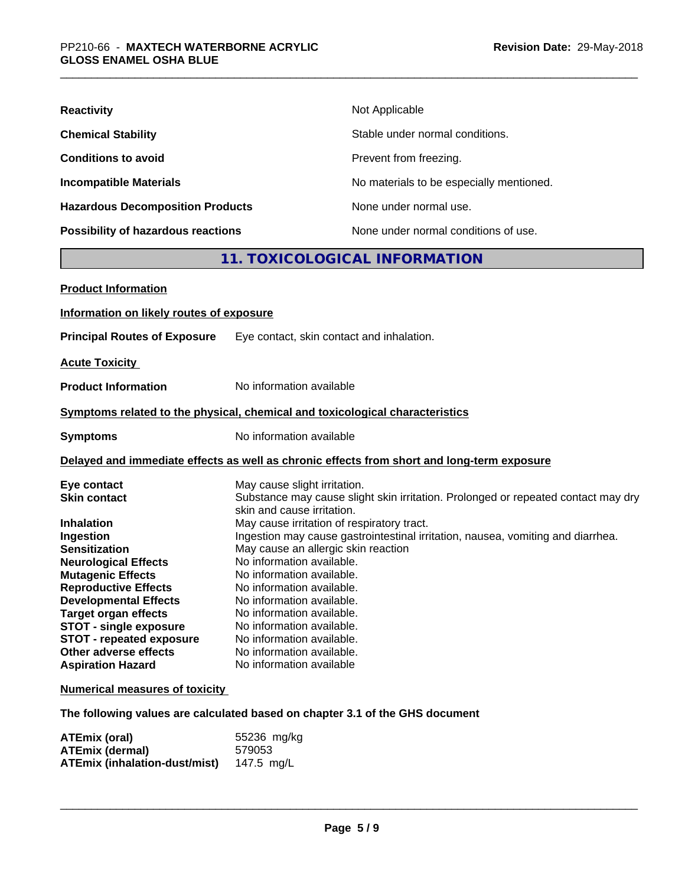| <b>Reactivity</b>                         | Not Applicable                           |
|-------------------------------------------|------------------------------------------|
| <b>Chemical Stability</b>                 | Stable under normal conditions.          |
| <b>Conditions to avoid</b>                | Prevent from freezing.                   |
| <b>Incompatible Materials</b>             | No materials to be especially mentioned. |
| <b>Hazardous Decomposition Products</b>   | None under normal use.                   |
| <b>Possibility of hazardous reactions</b> | None under normal conditions of use.     |

# **11. TOXICOLOGICAL INFORMATION**

| <b>Product Information</b>               |                                                                                                                 |
|------------------------------------------|-----------------------------------------------------------------------------------------------------------------|
| Information on likely routes of exposure |                                                                                                                 |
| <b>Principal Routes of Exposure</b>      | Eye contact, skin contact and inhalation.                                                                       |
| <b>Acute Toxicity</b>                    |                                                                                                                 |
| <b>Product Information</b>               | No information available                                                                                        |
|                                          | Symptoms related to the physical, chemical and toxicological characteristics                                    |
| <b>Symptoms</b>                          | No information available                                                                                        |
|                                          | Delayed and immediate effects as well as chronic effects from short and long-term exposure                      |
| Eye contact                              | May cause slight irritation.                                                                                    |
| <b>Skin contact</b>                      | Substance may cause slight skin irritation. Prolonged or repeated contact may dry<br>skin and cause irritation. |
| <b>Inhalation</b>                        | May cause irritation of respiratory tract.                                                                      |
| Ingestion                                | Ingestion may cause gastrointestinal irritation, nausea, vomiting and diarrhea.                                 |
| <b>Sensitization</b>                     | May cause an allergic skin reaction                                                                             |
| <b>Neurological Effects</b>              | No information available.                                                                                       |
| <b>Mutagenic Effects</b>                 | No information available.                                                                                       |
| <b>Reproductive Effects</b>              | No information available.                                                                                       |
| <b>Developmental Effects</b>             | No information available.                                                                                       |
| <b>Target organ effects</b>              | No information available.                                                                                       |
| <b>STOT - single exposure</b>            | No information available.                                                                                       |
| <b>STOT - repeated exposure</b>          | No information available.                                                                                       |
| Other adverse effects                    | No information available.                                                                                       |
| <b>Aspiration Hazard</b>                 | No information available                                                                                        |
| <b>Numerical measures of toxicity</b>    |                                                                                                                 |

**The following values are calculated based on chapter 3.1 of the GHS document**

| ATEmix (oral)                        | 55236 mg/kg |
|--------------------------------------|-------------|
| <b>ATEmix (dermal)</b>               | 579053      |
| <b>ATEmix (inhalation-dust/mist)</b> | 147.5 mg/L  |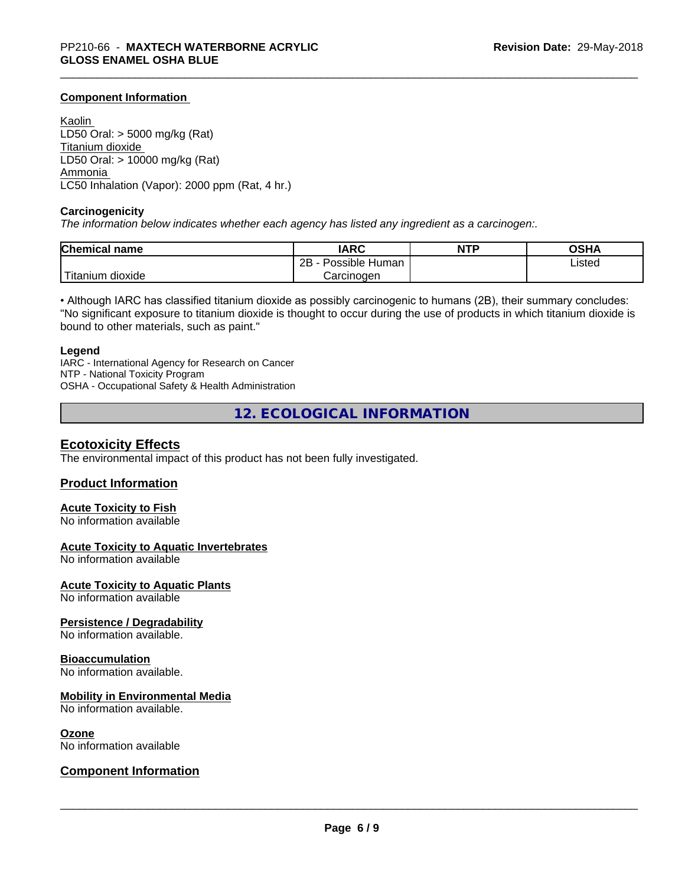### **Component Information**

Kaolin LD50 Oral: > 5000 mg/kg (Rat) Titanium dioxide LD50 Oral: > 10000 mg/kg (Rat) Ammonia LC50 Inhalation (Vapor): 2000 ppm (Rat, 4 hr.)

#### **Carcinogenicity**

*The information below indicateswhether each agency has listed any ingredient as a carcinogen:.*

| <b>Chemical name</b>   | <b>IARC</b>                    | <b>NTP</b> | <b>OCUA</b><br>ึงอ⊓⊬ |
|------------------------|--------------------------------|------------|----------------------|
|                        | . .<br>2B<br>Human<br>Possible |            | Listed               |
| n dioxide<br>l itanıum | Carcinoɑen                     |            |                      |

• Although IARC has classified titanium dioxide as possibly carcinogenic to humans (2B), their summary concludes: "No significant exposure to titanium dioxide is thought to occur during the use of products in which titanium dioxide is bound to other materials, such as paint."

#### **Legend**

IARC - International Agency for Research on Cancer NTP - National Toxicity Program OSHA - Occupational Safety & Health Administration

**12. ECOLOGICAL INFORMATION**

### **Ecotoxicity Effects**

The environmental impact of this product has not been fully investigated.

### **Product Information**

# **Acute Toxicity to Fish**

No information available

### **Acute Toxicity to Aquatic Invertebrates**

No information available

**Acute Toxicity to Aquatic Plants**

No information available

### **Persistence / Degradability**

No information available.

#### **Bioaccumulation**

No information available.

### **Mobility in Environmental Media**

No information available.

#### **Ozone**

No information available

### **Component Information**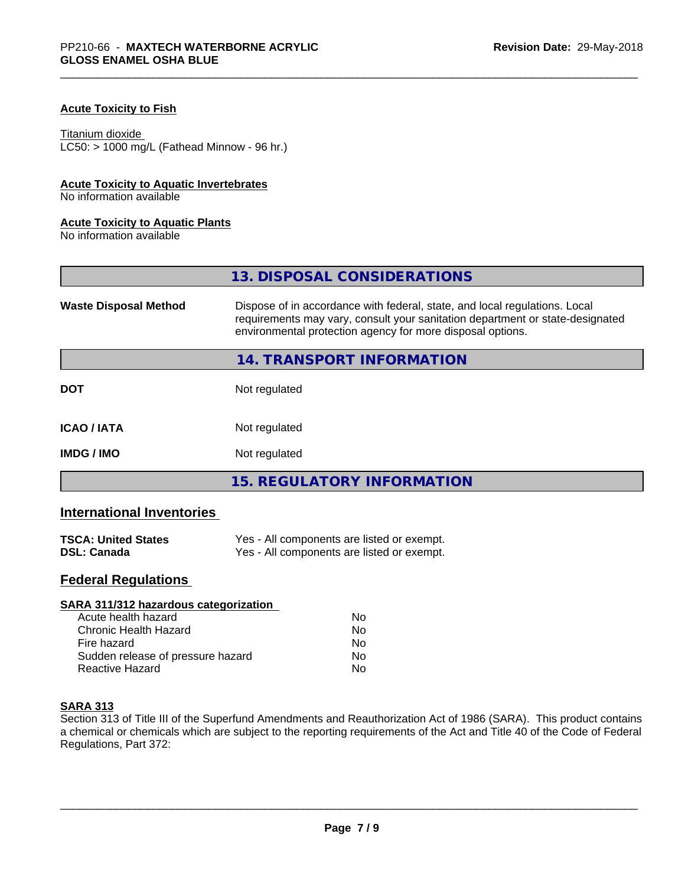### **Acute Toxicity to Fish**

#### Titanium dioxide

 $LC50:$  > 1000 mg/L (Fathead Minnow - 96 hr.)

### **Acute Toxicity to Aquatic Invertebrates**

No information available

### **Acute Toxicity to Aquatic Plants**

No information available

|                              | 13. DISPOSAL CONSIDERATIONS                                                                                                                                                                                               |
|------------------------------|---------------------------------------------------------------------------------------------------------------------------------------------------------------------------------------------------------------------------|
| <b>Waste Disposal Method</b> | Dispose of in accordance with federal, state, and local regulations. Local<br>requirements may vary, consult your sanitation department or state-designated<br>environmental protection agency for more disposal options. |
|                              | 14. TRANSPORT INFORMATION                                                                                                                                                                                                 |
| <b>DOT</b>                   | Not regulated                                                                                                                                                                                                             |
| <b>ICAO/IATA</b>             | Not regulated                                                                                                                                                                                                             |
| <b>IMDG / IMO</b>            | Not regulated                                                                                                                                                                                                             |
|                              | <b>15. REGULATORY INFORMATION</b>                                                                                                                                                                                         |

# **International Inventories**

| <b>TSCA: United States</b> | Yes - All components are listed or exempt. |
|----------------------------|--------------------------------------------|
| <b>DSL: Canada</b>         | Yes - All components are listed or exempt. |

# **Federal Regulations**

| SARA 311/312 hazardous categorization |    |  |
|---------------------------------------|----|--|
| Acute health hazard                   | Nο |  |
| Chronic Health Hazard                 | No |  |
| Fire hazard                           | Nο |  |
| Sudden release of pressure hazard     | No |  |
| Reactive Hazard                       | No |  |

### **SARA 313**

Section 313 of Title III of the Superfund Amendments and Reauthorization Act of 1986 (SARA). This product contains a chemical or chemicals which are subject to the reporting requirements of the Act and Title 40 of the Code of Federal Regulations, Part 372: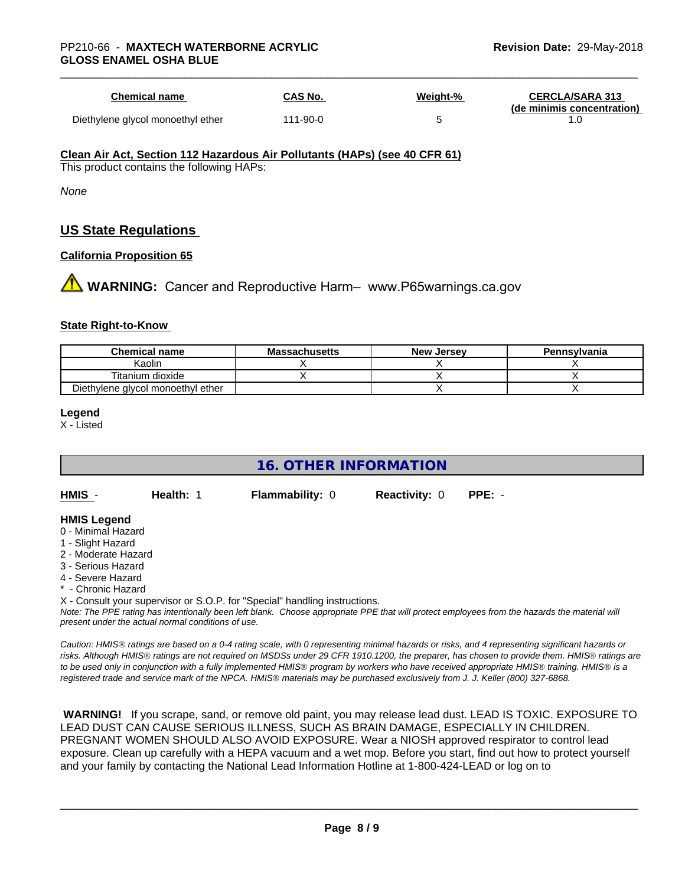| Chemical name                     | CAS No.  | <u>Weight-%</u> | <b>CERCLA/SARA 313</b><br>(de minimis concentration) |
|-----------------------------------|----------|-----------------|------------------------------------------------------|
| Diethylene glycol monoethyl ether | 111-90-0 |                 |                                                      |

#### **Clean Air Act,Section 112 Hazardous Air Pollutants (HAPs) (see 40 CFR 61)**

This product contains the following HAPs:

*None*

# **US State Regulations**

### **California Proposition 65**

**1 WARNING:** Cancer and Reproductive Harm– www.P65warnings.ca.gov

### **State Right-to-Know**

| <b>Chemical name</b>              | <b>Massachusetts</b> | <b>New Jersey</b> | Pennsylvania |
|-----------------------------------|----------------------|-------------------|--------------|
| Kaolin                            |                      |                   |              |
| Titanium dioxide                  |                      |                   |              |
| Diethylene glycol monoethyl ether |                      |                   |              |

#### **Legend**

X - Listed

# **16. OTHER INFORMATION**

**HMIS** - **Health:** 1 **Flammability:** 0 **Reactivity:** 0 **PPE:** -

### **HMIS Legend**

- 0 Minimal Hazard
- 1 Slight Hazard
- 2 Moderate Hazard
- 3 Serious Hazard
- 4 Severe Hazard
- **Chronic Hazard**
- X Consult your supervisor or S.O.P. for "Special" handling instructions.

*Note: The PPE rating has intentionally been left blank. Choose appropriate PPE that will protect employees from the hazards the material will present under the actual normal conditions of use.*

*Caution: HMISÒ ratings are based on a 0-4 rating scale, with 0 representing minimal hazards or risks, and 4 representing significant hazards or risks. Although HMISÒ ratings are not required on MSDSs under 29 CFR 1910.1200, the preparer, has chosen to provide them. HMISÒ ratings are to be used only in conjunction with a fully implemented HMISÒ program by workers who have received appropriate HMISÒ training. HMISÒ is a registered trade and service mark of the NPCA. HMISÒ materials may be purchased exclusively from J. J. Keller (800) 327-6868.*

 **WARNING!** If you scrape, sand, or remove old paint, you may release lead dust. LEAD IS TOXIC. EXPOSURE TO LEAD DUST CAN CAUSE SERIOUS ILLNESS, SUCH AS BRAIN DAMAGE, ESPECIALLY IN CHILDREN. PREGNANT WOMEN SHOULD ALSO AVOID EXPOSURE.Wear a NIOSH approved respirator to control lead exposure. Clean up carefully with a HEPA vacuum and a wet mop. Before you start, find out how to protect yourself and your family by contacting the National Lead Information Hotline at 1-800-424-LEAD or log on to